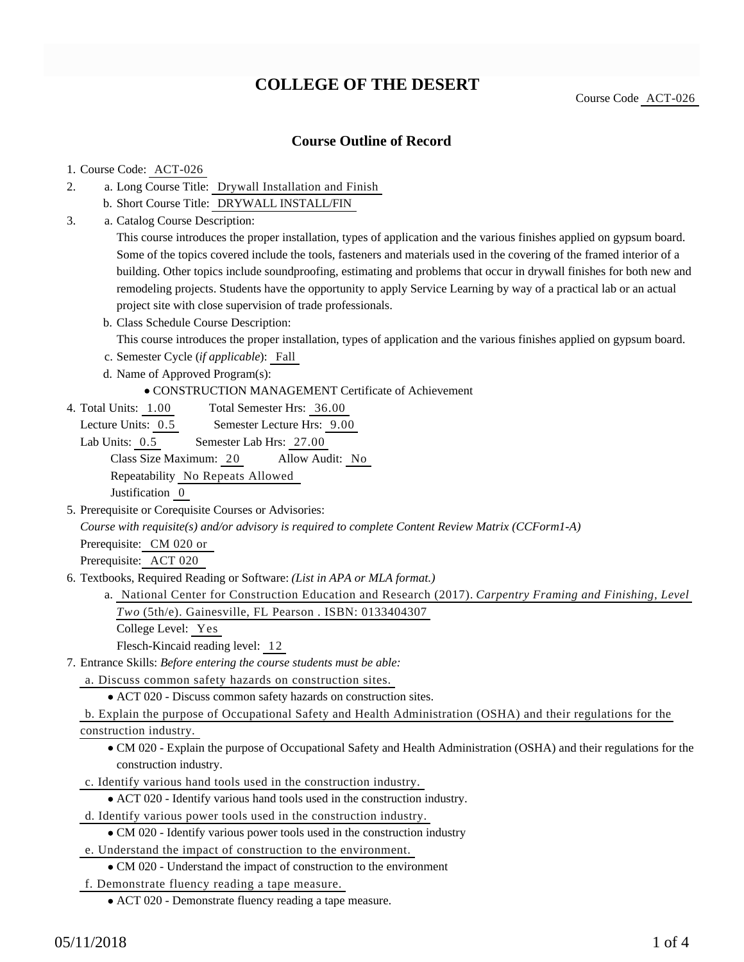# **COLLEGE OF THE DESERT**

Course Code ACT-026

### **Course Outline of Record**

#### 1. Course Code: ACT-026

- a. Long Course Title: Drywall Installation and Finish 2.
	- b. Short Course Title: DRYWALL INSTALL/FIN
- Catalog Course Description: a. 3.

This course introduces the proper installation, types of application and the various finishes applied on gypsum board. Some of the topics covered include the tools, fasteners and materials used in the covering of the framed interior of a building. Other topics include soundproofing, estimating and problems that occur in drywall finishes for both new and remodeling projects. Students have the opportunity to apply Service Learning by way of a practical lab or an actual project site with close supervision of trade professionals.

b. Class Schedule Course Description:

This course introduces the proper installation, types of application and the various finishes applied on gypsum board.

c. Semester Cycle (*if applicable*): Fall

d. Name of Approved Program(s):

CONSTRUCTION MANAGEMENT Certificate of Achievement

Total Semester Hrs: 36.00 4. Total Units: 1.00

Lecture Units: 0.5 Semester Lecture Hrs: 9.00

Lab Units: 0.5 Semester Lab Hrs: 27.00 Class Size Maximum: 20 Allow Audit: No Repeatability No Repeats Allowed Justification 0

5. Prerequisite or Corequisite Courses or Advisories:

*Course with requisite(s) and/or advisory is required to complete Content Review Matrix (CCForm1-A)*

Prerequisite: CM 020 or

Prerequisite: ACT 020

- 6. Textbooks, Required Reading or Software: (List in APA or MLA format.)
	- a. National Center for Construction Education and Research (2017). *Carpentry Framing and Finishing, Level Two* (5th/e). Gainesville, FL Pearson . ISBN: 0133404307

College Level: Yes

Flesch-Kincaid reading level: 12

- Entrance Skills: *Before entering the course students must be able:* 7.
	- a. Discuss common safety hazards on construction sites.

ACT 020 - Discuss common safety hazards on construction sites.

b. Explain the purpose of Occupational Safety and Health Administration (OSHA) and their regulations for the

construction industry.

CM 020 - Explain the purpose of Occupational Safety and Health Administration (OSHA) and their regulations for the construction industry.

c. Identify various hand tools used in the construction industry.

ACT 020 - Identify various hand tools used in the construction industry.

d. Identify various power tools used in the construction industry.

- CM 020 Identify various power tools used in the construction industry
- e. Understand the impact of construction to the environment.

CM 020 - Understand the impact of construction to the environment

f. Demonstrate fluency reading a tape measure.

ACT 020 - Demonstrate fluency reading a tape measure.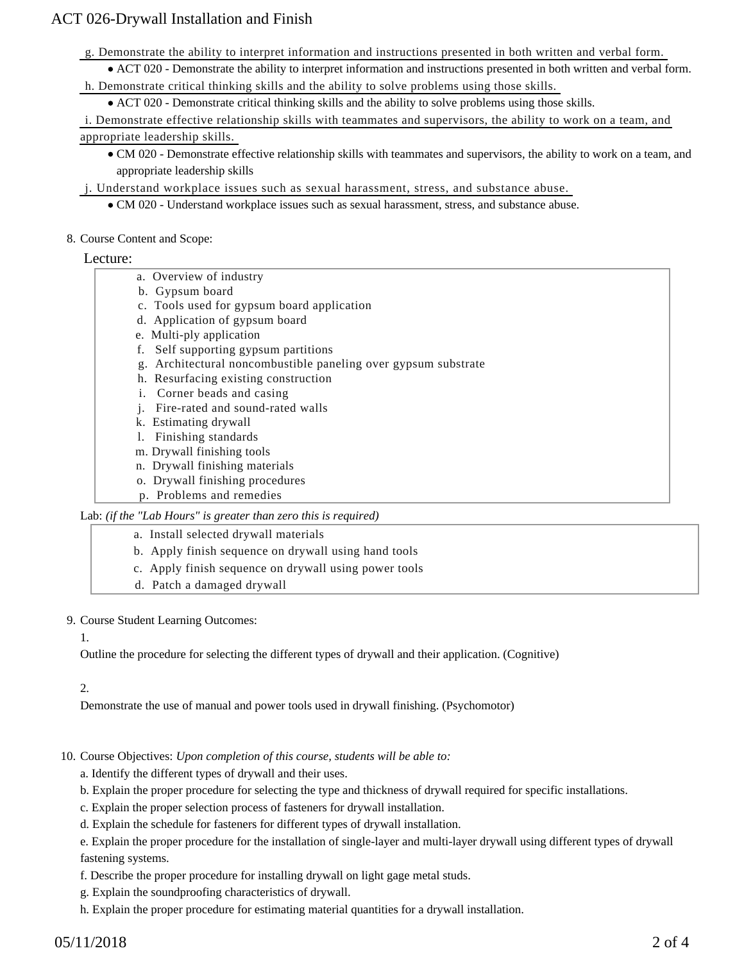g. Demonstrate the ability to interpret information and instructions presented in both written and verbal form.

ACT 020 - Demonstrate the ability to interpret information and instructions presented in both written and verbal form. h. Demonstrate critical thinking skills and the ability to solve problems using those skills.

ACT 020 - Demonstrate critical thinking skills and the ability to solve problems using those skills.

i. Demonstrate effective relationship skills with teammates and supervisors, the ability to work on a team, and appropriate leadership skills.

CM 020 - Demonstrate effective relationship skills with teammates and supervisors, the ability to work on a team, and appropriate leadership skills

j. Understand workplace issues such as sexual harassment, stress, and substance abuse.

CM 020 - Understand workplace issues such as sexual harassment, stress, and substance abuse.

#### 8. Course Content and Scope:

#### Lecture:

- a. Overview of industry
- b. Gypsum board

ACT 026-Drywall Installation and Finish

- c. Tools used for gypsum board application
- d. Application of gypsum board
- e. Multi-ply application
- f. Self supporting gypsum partitions
- g. Architectural noncombustible paneling over gypsum substrate
- h. Resurfacing existing construction
- i. Corner beads and casing
- j. Fire-rated and sound-rated walls
- k. Estimating drywall
- l. Finishing standards
- m. Drywall finishing tools
- n. Drywall finishing materials
- o. Drywall finishing procedures
- p. Problems and remedies

#### Lab: *(if the "Lab Hours" is greater than zero this is required)*

- a. Install selected drywall materials
- b. Apply finish sequence on drywall using hand tools
- c. Apply finish sequence on drywall using power tools
- d. Patch a damaged drywall

#### 9. Course Student Learning Outcomes:

#### 1.

Outline the procedure for selecting the different types of drywall and their application. (Cognitive)

#### 2.

Demonstrate the use of manual and power tools used in drywall finishing. (Psychomotor)

### 10. Course Objectives: Upon completion of this course, students will be able to:

- a. Identify the different types of drywall and their uses.
- b. Explain the proper procedure for selecting the type and thickness of drywall required for specific installations.
- c. Explain the proper selection process of fasteners for drywall installation.
- d. Explain the schedule for fasteners for different types of drywall installation.

e. Explain the proper procedure for the installation of single-layer and multi-layer drywall using different types of drywall fastening systems.

- f. Describe the proper procedure for installing drywall on light gage metal studs.
- g. Explain the soundproofing characteristics of drywall.
- h. Explain the proper procedure for estimating material quantities for a drywall installation.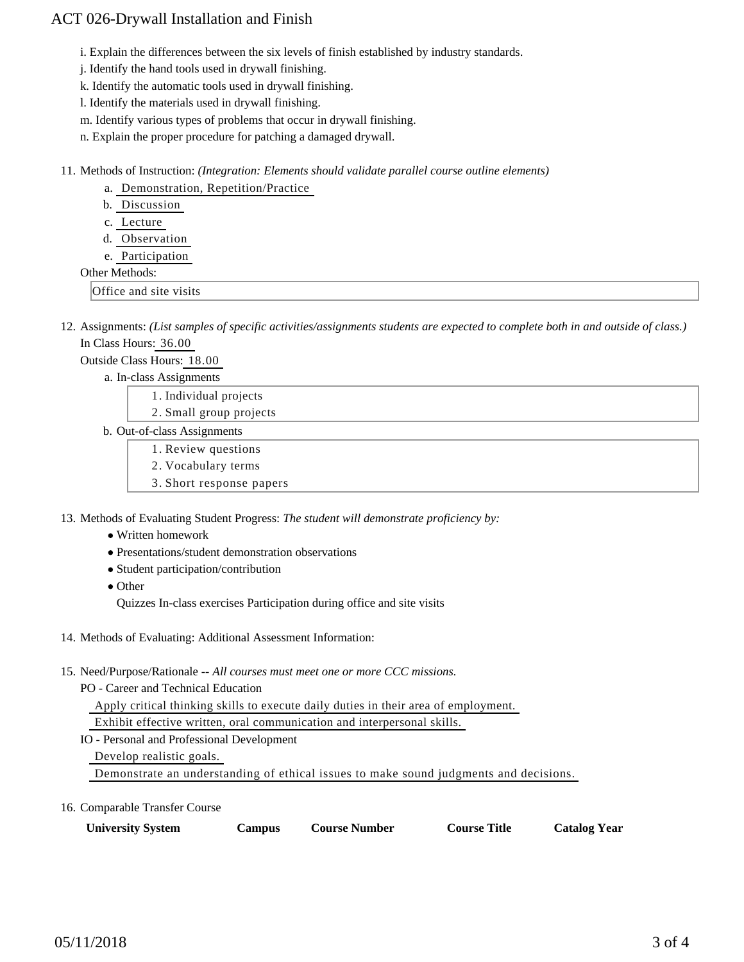## ACT 026-Drywall Installation and Finish

i. Explain the differences between the six levels of finish established by industry standards.

j. Identify the hand tools used in drywall finishing.

k. Identify the automatic tools used in drywall finishing.

l. Identify the materials used in drywall finishing.

m. Identify various types of problems that occur in drywall finishing.

n. Explain the proper procedure for patching a damaged drywall.

11. Methods of Instruction: *(Integration: Elements should validate parallel course outline elements)* 

- a. Demonstration, Repetition/Practice
- b. Discussion

c. Lecture

- d. Observation
- e. Participation

#### Other Methods:

Office and site visits

12. Assignments: (List samples of specific activities/assignments students are expected to complete both in and outside of class.) In Class Hours: 36.00

Outside Class Hours: 18.00

a. In-class Assignments

- 1. Individual projects
- 2. Small group projects
- b. Out-of-class Assignments
	- 1. Review questions
	- 2. Vocabulary terms
	- 3. Short response papers

13. Methods of Evaluating Student Progress: The student will demonstrate proficiency by:

- Written homework
- Presentations/student demonstration observations
- Student participation/contribution
- Other

Quizzes In-class exercises Participation during office and site visits

- 14. Methods of Evaluating: Additional Assessment Information:
- 15. Need/Purpose/Rationale -- All courses must meet one or more CCC missions.

PO - Career and Technical Education

Apply critical thinking skills to execute daily duties in their area of employment.

Exhibit effective written, oral communication and interpersonal skills.

IO - Personal and Professional Development

Develop realistic goals.

Demonstrate an understanding of ethical issues to make sound judgments and decisions.

16. Comparable Transfer Course

| <b>University System</b><br>Campus | <b>Course Number</b> | <b>Course Title</b> | <b>Catalog Year</b> |
|------------------------------------|----------------------|---------------------|---------------------|
|------------------------------------|----------------------|---------------------|---------------------|